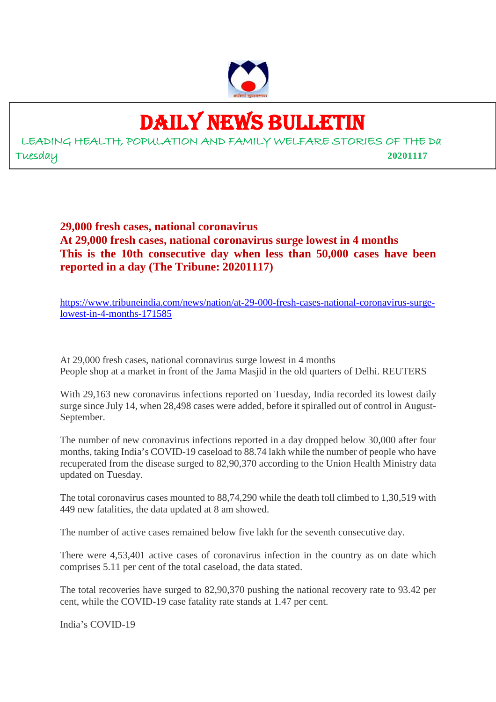

## DAILY NEWS BULLETIN

LEADING HEALTH, POPULATION AND FAMILY WELFARE STORIES OF THE Da Tuesday **20201117**

> **29,000 fresh cases, national coronavirus At 29,000 fresh cases, national coronavirus surge lowest in 4 months This is the 10th consecutive day when less than 50,000 cases have been reported in a day (The Tribune: 20201117)**

> https://www.tribuneindia.com/news/nation/at-29-000-fresh-cases-national-coronavirus-surgelowest-in-4-months-171585

At 29,000 fresh cases, national coronavirus surge lowest in 4 months People shop at a market in front of the Jama Masjid in the old quarters of Delhi. REUTERS

With 29,163 new coronavirus infections reported on Tuesday, India recorded its lowest daily surge since July 14, when 28,498 cases were added, before it spiralled out of control in August-September.

The number of new coronavirus infections reported in a day dropped below 30,000 after four months, taking India's COVID-19 caseload to 88.74 lakh while the number of people who have recuperated from the disease surged to 82,90,370 according to the Union Health Ministry data updated on Tuesday.

The total coronavirus cases mounted to 88,74,290 while the death toll climbed to 1,30,519 with 449 new fatalities, the data updated at 8 am showed.

The number of active cases remained below five lakh for the seventh consecutive day.

There were 4,53,401 active cases of coronavirus infection in the country as on date which comprises 5.11 per cent of the total caseload, the data stated.

The total recoveries have surged to 82,90,370 pushing the national recovery rate to 93.42 per cent, while the COVID-19 case fatality rate stands at 1.47 per cent.

India's COVID-19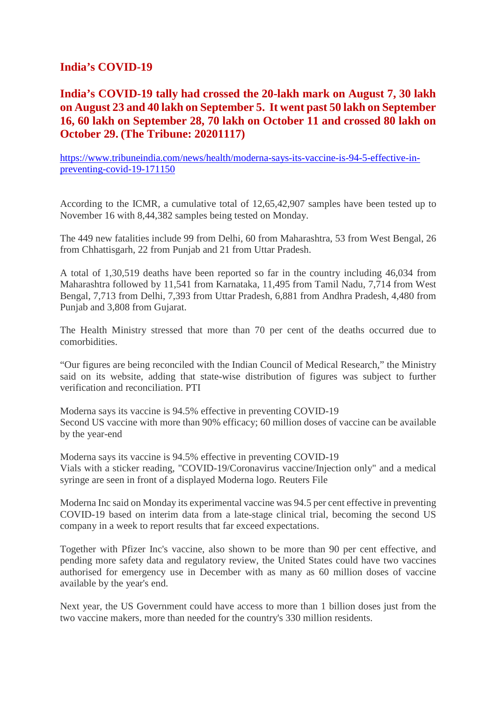#### **India's COVID-19**

## **India's COVID-19 tally had crossed the 20-lakh mark on August 7, 30 lakh on August 23 and 40 lakh on September 5. It went past 50 lakh on September 16, 60 lakh on September 28, 70 lakh on October 11 and crossed 80 lakh on October 29. (The Tribune: 20201117)**

https://www.tribuneindia.com/news/health/moderna-says-its-vaccine-is-94-5-effective-inpreventing-covid-19-171150

According to the ICMR, a cumulative total of 12,65,42,907 samples have been tested up to November 16 with 8,44,382 samples being tested on Monday.

The 449 new fatalities include 99 from Delhi, 60 from Maharashtra, 53 from West Bengal, 26 from Chhattisgarh, 22 from Punjab and 21 from Uttar Pradesh.

A total of 1,30,519 deaths have been reported so far in the country including 46,034 from Maharashtra followed by 11,541 from Karnataka, 11,495 from Tamil Nadu, 7,714 from West Bengal, 7,713 from Delhi, 7,393 from Uttar Pradesh, 6,881 from Andhra Pradesh, 4,480 from Punjab and 3,808 from Gujarat.

The Health Ministry stressed that more than 70 per cent of the deaths occurred due to comorbidities.

"Our figures are being reconciled with the Indian Council of Medical Research," the Ministry said on its website, adding that state-wise distribution of figures was subject to further verification and reconciliation. PTI

Moderna says its vaccine is 94.5% effective in preventing COVID-19 Second US vaccine with more than 90% efficacy; 60 million doses of vaccine can be available by the year-end

Moderna says its vaccine is 94.5% effective in preventing COVID-19 Vials with a sticker reading, "COVID-19/Coronavirus vaccine/Injection only" and a medical syringe are seen in front of a displayed Moderna logo. Reuters File

Moderna Inc said on Monday its experimental vaccine was 94.5 per cent effective in preventing COVID-19 based on interim data from a late-stage clinical trial, becoming the second US company in a week to report results that far exceed expectations.

Together with Pfizer Inc's vaccine, also shown to be more than 90 per cent effective, and pending more safety data and regulatory review, the United States could have two vaccines authorised for emergency use in December with as many as 60 million doses of vaccine available by the year's end.

Next year, the US Government could have access to more than 1 billion doses just from the two vaccine makers, more than needed for the country's 330 million residents.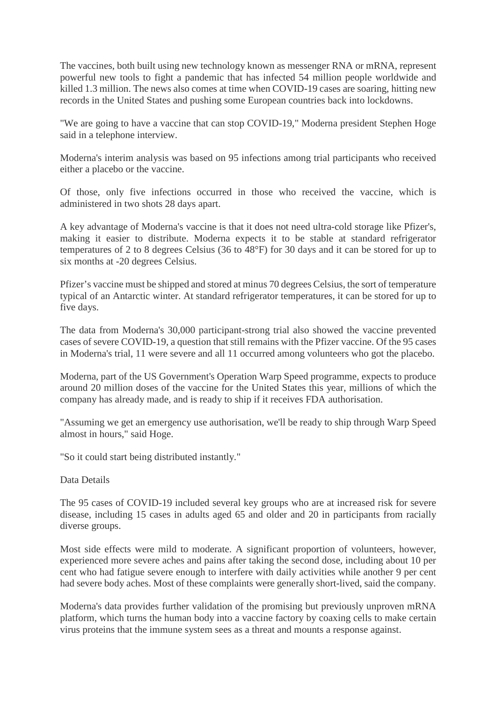The vaccines, both built using new technology known as messenger RNA or mRNA, represent powerful new tools to fight a pandemic that has infected 54 million people worldwide and killed 1.3 million. The news also comes at time when COVID-19 cases are soaring, hitting new records in the United States and pushing some European countries back into lockdowns.

"We are going to have a vaccine that can stop COVID-19," Moderna president Stephen Hoge said in a telephone interview.

Moderna's interim analysis was based on 95 infections among trial participants who received either a placebo or the vaccine.

Of those, only five infections occurred in those who received the vaccine, which is administered in two shots 28 days apart.

A key advantage of Moderna's vaccine is that it does not need ultra-cold storage like Pfizer's, making it easier to distribute. Moderna expects it to be stable at standard refrigerator temperatures of 2 to 8 degrees Celsius (36 to 48°F) for 30 days and it can be stored for up to six months at -20 degrees Celsius.

Pfizer's vaccine must be shipped and stored at minus 70 degrees Celsius, the sort of temperature typical of an Antarctic winter. At standard refrigerator temperatures, it can be stored for up to five days.

The data from Moderna's 30,000 participant-strong trial also showed the vaccine prevented cases of severe COVID-19, a question that still remains with the Pfizer vaccine. Of the 95 cases in Moderna's trial, 11 were severe and all 11 occurred among volunteers who got the placebo.

Moderna, part of the US Government's Operation Warp Speed programme, expects to produce around 20 million doses of the vaccine for the United States this year, millions of which the company has already made, and is ready to ship if it receives FDA authorisation.

"Assuming we get an emergency use authorisation, we'll be ready to ship through Warp Speed almost in hours," said Hoge.

"So it could start being distributed instantly."

Data Details

The 95 cases of COVID-19 included several key groups who are at increased risk for severe disease, including 15 cases in adults aged 65 and older and 20 in participants from racially diverse groups.

Most side effects were mild to moderate. A significant proportion of volunteers, however, experienced more severe aches and pains after taking the second dose, including about 10 per cent who had fatigue severe enough to interfere with daily activities while another 9 per cent had severe body aches. Most of these complaints were generally short-lived, said the company.

Moderna's data provides further validation of the promising but previously unproven mRNA platform, which turns the human body into a vaccine factory by coaxing cells to make certain virus proteins that the immune system sees as a threat and mounts a response against.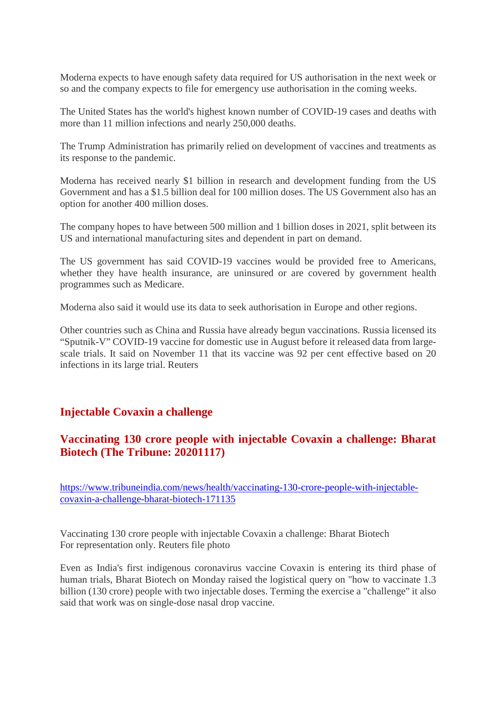Moderna expects to have enough safety data required for US authorisation in the next week or so and the company expects to file for emergency use authorisation in the coming weeks.

The United States has the world's highest known number of COVID-19 cases and deaths with more than 11 million infections and nearly 250,000 deaths.

The Trump Administration has primarily relied on development of vaccines and treatments as its response to the pandemic.

Moderna has received nearly \$1 billion in research and development funding from the US Government and has a \$1.5 billion deal for 100 million doses. The US Government also has an option for another 400 million doses.

The company hopes to have between 500 million and 1 billion doses in 2021, split between its US and international manufacturing sites and dependent in part on demand.

The US government has said COVID-19 vaccines would be provided free to Americans, whether they have health insurance, are uninsured or are covered by government health programmes such as Medicare.

Moderna also said it would use its data to seek authorisation in Europe and other regions.

Other countries such as China and Russia have already begun vaccinations. Russia licensed its "Sputnik-V" COVID-19 vaccine for domestic use in August before it released data from largescale trials. It said on November 11 that its vaccine was 92 per cent effective based on 20 infections in its large trial. Reuters

#### **Injectable Covaxin a challenge**

#### **Vaccinating 130 crore people with injectable Covaxin a challenge: Bharat Biotech (The Tribune: 20201117)**

https://www.tribuneindia.com/news/health/vaccinating-130-crore-people-with-injectablecovaxin-a-challenge-bharat-biotech-171135

Vaccinating 130 crore people with injectable Covaxin a challenge: Bharat Biotech For representation only. Reuters file photo

Even as India's first indigenous coronavirus vaccine Covaxin is entering its third phase of human trials, Bharat Biotech on Monday raised the logistical query on "how to vaccinate 1.3 billion (130 crore) people with two injectable doses. Terming the exercise a "challenge" it also said that work was on single-dose nasal drop vaccine.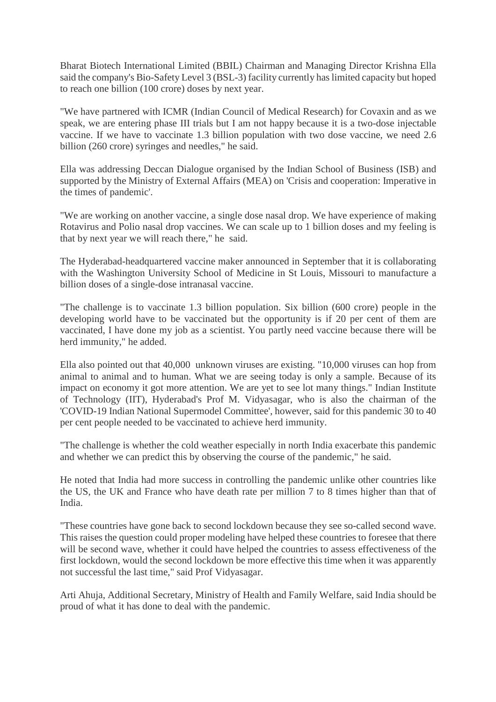Bharat Biotech International Limited (BBIL) Chairman and Managing Director Krishna Ella said the company's Bio-Safety Level 3 (BSL-3) facility currently has limited capacity but hoped to reach one billion (100 crore) doses by next year.

"We have partnered with ICMR (Indian Council of Medical Research) for Covaxin and as we speak, we are entering phase III trials but I am not happy because it is a two-dose injectable vaccine. If we have to vaccinate 1.3 billion population with two dose vaccine, we need 2.6 billion (260 crore) syringes and needles," he said.

Ella was addressing Deccan Dialogue organised by the Indian School of Business (ISB) and supported by the Ministry of External Affairs (MEA) on 'Crisis and cooperation: Imperative in the times of pandemic'.

"We are working on another vaccine, a single dose nasal drop. We have experience of making Rotavirus and Polio nasal drop vaccines. We can scale up to 1 billion doses and my feeling is that by next year we will reach there," he said.

The Hyderabad-headquartered vaccine maker announced in September that it is collaborating with the Washington University School of Medicine in St Louis, Missouri to manufacture a billion doses of a single-dose intranasal vaccine.

"The challenge is to vaccinate 1.3 billion population. Six billion (600 crore) people in the developing world have to be vaccinated but the opportunity is if 20 per cent of them are vaccinated, I have done my job as a scientist. You partly need vaccine because there will be herd immunity," he added.

Ella also pointed out that 40,000 unknown viruses are existing. "10,000 viruses can hop from animal to animal and to human. What we are seeing today is only a sample. Because of its impact on economy it got more attention. We are yet to see lot many things." Indian Institute of Technology (IIT), Hyderabad's Prof M. Vidyasagar, who is also the chairman of the 'COVID-19 Indian National Supermodel Committee', however, said for this pandemic 30 to 40 per cent people needed to be vaccinated to achieve herd immunity.

"The challenge is whether the cold weather especially in north India exacerbate this pandemic and whether we can predict this by observing the course of the pandemic," he said.

He noted that India had more success in controlling the pandemic unlike other countries like the US, the UK and France who have death rate per million 7 to 8 times higher than that of India.

"These countries have gone back to second lockdown because they see so-called second wave. This raises the question could proper modeling have helped these countries to foresee that there will be second wave, whether it could have helped the countries to assess effectiveness of the first lockdown, would the second lockdown be more effective this time when it was apparently not successful the last time," said Prof Vidyasagar.

Arti Ahuja, Additional Secretary, Ministry of Health and Family Welfare, said India should be proud of what it has done to deal with the pandemic.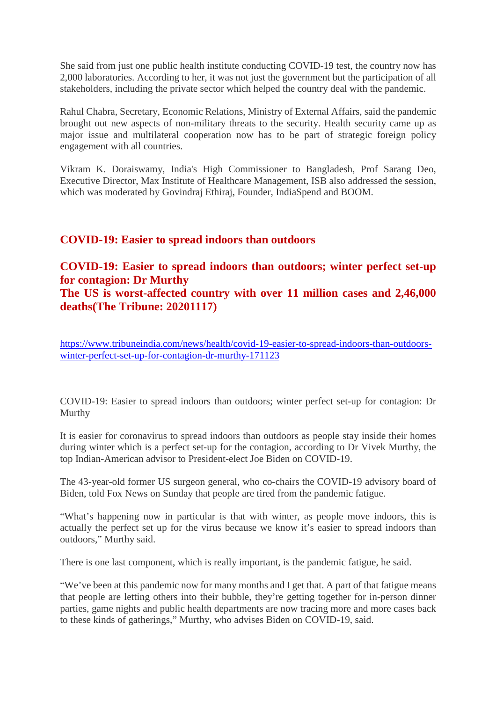She said from just one public health institute conducting COVID-19 test, the country now has 2,000 laboratories. According to her, it was not just the government but the participation of all stakeholders, including the private sector which helped the country deal with the pandemic.

Rahul Chabra, Secretary, Economic Relations, Ministry of External Affairs, said the pandemic brought out new aspects of non-military threats to the security. Health security came up as major issue and multilateral cooperation now has to be part of strategic foreign policy engagement with all countries.

Vikram K. Doraiswamy, India's High Commissioner to Bangladesh, Prof Sarang Deo, Executive Director, Max Institute of Healthcare Management, ISB also addressed the session, which was moderated by Govindraj Ethiraj, Founder, IndiaSpend and BOOM.

#### **COVID-19: Easier to spread indoors than outdoors**

#### **COVID-19: Easier to spread indoors than outdoors; winter perfect set-up for contagion: Dr Murthy The US is worst-affected country with over 11 million cases and 2,46,000 deaths(The Tribune: 20201117)**

https://www.tribuneindia.com/news/health/covid-19-easier-to-spread-indoors-than-outdoorswinter-perfect-set-up-for-contagion-dr-murthy-171123

COVID-19: Easier to spread indoors than outdoors; winter perfect set-up for contagion: Dr Murthy

It is easier for coronavirus to spread indoors than outdoors as people stay inside their homes during winter which is a perfect set-up for the contagion, according to Dr Vivek Murthy, the top Indian-American advisor to President-elect Joe Biden on COVID-19.

The 43-year-old former US surgeon general, who co-chairs the COVID-19 advisory board of Biden, told Fox News on Sunday that people are tired from the pandemic fatigue.

"What's happening now in particular is that with winter, as people move indoors, this is actually the perfect set up for the virus because we know it's easier to spread indoors than outdoors," Murthy said.

There is one last component, which is really important, is the pandemic fatigue, he said.

"We've been at this pandemic now for many months and I get that. A part of that fatigue means that people are letting others into their bubble, they're getting together for in-person dinner parties, game nights and public health departments are now tracing more and more cases back to these kinds of gatherings," Murthy, who advises Biden on COVID-19, said.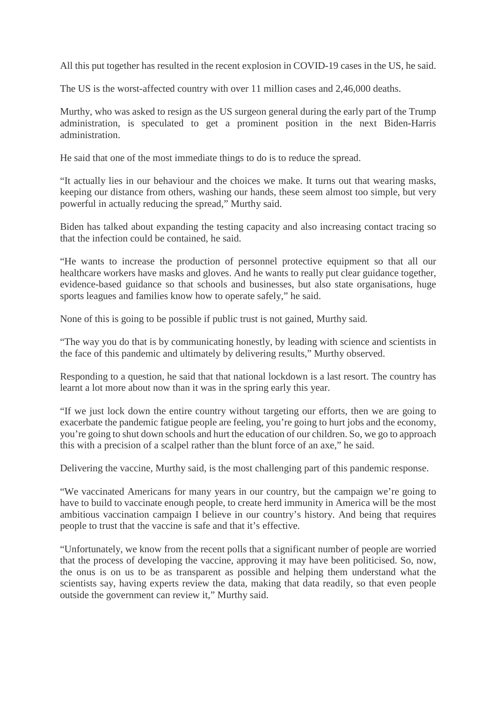All this put together has resulted in the recent explosion in COVID-19 cases in the US, he said.

The US is the worst-affected country with over 11 million cases and 2,46,000 deaths.

Murthy, who was asked to resign as the US surgeon general during the early part of the Trump administration, is speculated to get a prominent position in the next Biden-Harris administration.

He said that one of the most immediate things to do is to reduce the spread.

"It actually lies in our behaviour and the choices we make. It turns out that wearing masks, keeping our distance from others, washing our hands, these seem almost too simple, but very powerful in actually reducing the spread," Murthy said.

Biden has talked about expanding the testing capacity and also increasing contact tracing so that the infection could be contained, he said.

"He wants to increase the production of personnel protective equipment so that all our healthcare workers have masks and gloves. And he wants to really put clear guidance together, evidence-based guidance so that schools and businesses, but also state organisations, huge sports leagues and families know how to operate safely," he said.

None of this is going to be possible if public trust is not gained, Murthy said.

"The way you do that is by communicating honestly, by leading with science and scientists in the face of this pandemic and ultimately by delivering results," Murthy observed.

Responding to a question, he said that that national lockdown is a last resort. The country has learnt a lot more about now than it was in the spring early this year.

"If we just lock down the entire country without targeting our efforts, then we are going to exacerbate the pandemic fatigue people are feeling, you're going to hurt jobs and the economy, you're going to shut down schools and hurt the education of our children. So, we go to approach this with a precision of a scalpel rather than the blunt force of an axe," he said.

Delivering the vaccine, Murthy said, is the most challenging part of this pandemic response.

"We vaccinated Americans for many years in our country, but the campaign we're going to have to build to vaccinate enough people, to create herd immunity in America will be the most ambitious vaccination campaign I believe in our country's history. And being that requires people to trust that the vaccine is safe and that it's effective.

"Unfortunately, we know from the recent polls that a significant number of people are worried that the process of developing the vaccine, approving it may have been politicised. So, now, the onus is on us to be as transparent as possible and helping them understand what the scientists say, having experts review the data, making that data readily, so that even people outside the government can review it," Murthy said.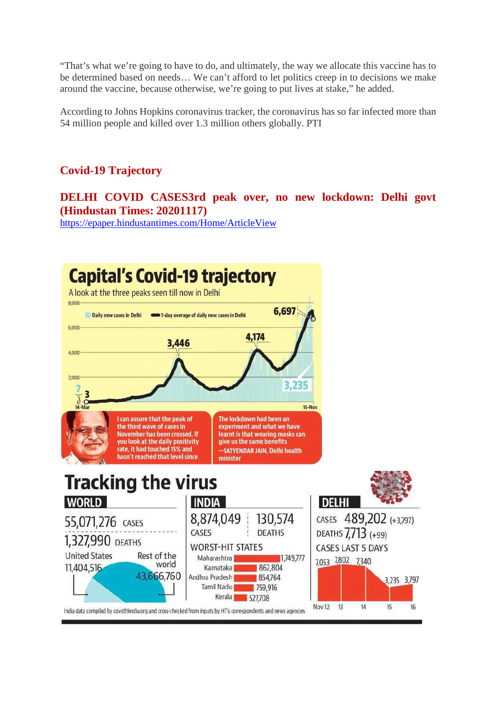"That's what we're going to have to do, and ultimately, the way we allocate this vaccine has to be determined based on needs… We can't afford to let politics creep in to decisions we make around the vaccine, because otherwise, we're going to put lives at stake," he added.

According to Johns Hopkins coronavirus tracker, the coronavirus has so far infected more than 54 million people and killed over 1.3 million others globally. PTI

## **Covid-19 Trajectory**

#### **DELHI COVID CASES3rd peak over, no new lockdown: Delhi govt (Hindustan Times: 20201117)**

https://epaper.hindustantimes.com/Home/ArticleView

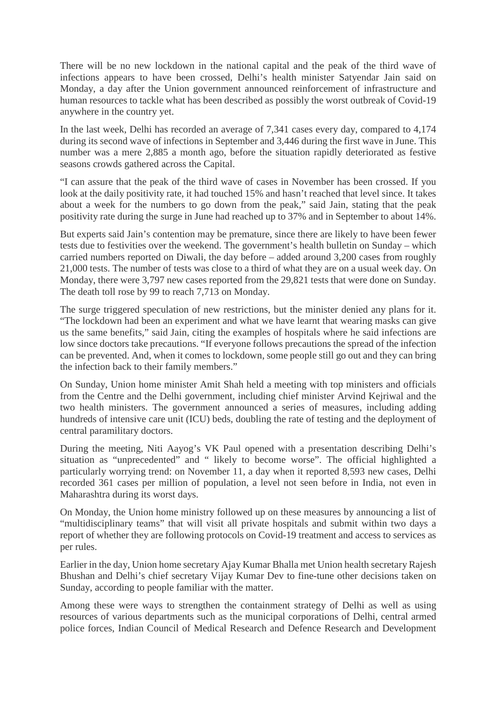There will be no new lockdown in the national capital and the peak of the third wave of infections appears to have been crossed, Delhi's health minister Satyendar Jain said on Monday, a day after the Union government announced reinforcement of infrastructure and human resources to tackle what has been described as possibly the worst outbreak of Covid-19 anywhere in the country yet.

In the last week, Delhi has recorded an average of 7,341 cases every day, compared to 4,174 during its second wave of infections in September and 3,446 during the first wave in June. This number was a mere 2,885 a month ago, before the situation rapidly deteriorated as festive seasons crowds gathered across the Capital.

"I can assure that the peak of the third wave of cases in November has been crossed. If you look at the daily positivity rate, it had touched 15% and hasn't reached that level since. It takes about a week for the numbers to go down from the peak," said Jain, stating that the peak positivity rate during the surge in June had reached up to 37% and in September to about 14%.

But experts said Jain's contention may be premature, since there are likely to have been fewer tests due to festivities over the weekend. The government's health bulletin on Sunday – which carried numbers reported on Diwali, the day before – added around 3,200 cases from roughly 21,000 tests. The number of tests was close to a third of what they are on a usual week day. On Monday, there were 3,797 new cases reported from the 29,821 tests that were done on Sunday. The death toll rose by 99 to reach 7,713 on Monday.

The surge triggered speculation of new restrictions, but the minister denied any plans for it. "The lockdown had been an experiment and what we have learnt that wearing masks can give us the same benefits," said Jain, citing the examples of hospitals where he said infections are low since doctors take precautions. "If everyone follows precautions the spread of the infection can be prevented. And, when it comes to lockdown, some people still go out and they can bring the infection back to their family members."

On Sunday, Union home minister Amit Shah held a meeting with top ministers and officials from the Centre and the Delhi government, including chief minister Arvind Kejriwal and the two health ministers. The government announced a series of measures, including adding hundreds of intensive care unit (ICU) beds, doubling the rate of testing and the deployment of central paramilitary doctors.

During the meeting, Niti Aayog's VK Paul opened with a presentation describing Delhi's situation as "unprecedented" and " likely to become worse". The official highlighted a particularly worrying trend: on November 11, a day when it reported 8,593 new cases, Delhi recorded 361 cases per million of population, a level not seen before in India, not even in Maharashtra during its worst days.

On Monday, the Union home ministry followed up on these measures by announcing a list of "multidisciplinary teams" that will visit all private hospitals and submit within two days a report of whether they are following protocols on Covid-19 treatment and access to services as per rules.

Earlier in the day, Union home secretary Ajay Kumar Bhalla met Union health secretary Rajesh Bhushan and Delhi's chief secretary Vijay Kumar Dev to fine-tune other decisions taken on Sunday, according to people familiar with the matter.

Among these were ways to strengthen the containment strategy of Delhi as well as using resources of various departments such as the municipal corporations of Delhi, central armed police forces, Indian Council of Medical Research and Defence Research and Development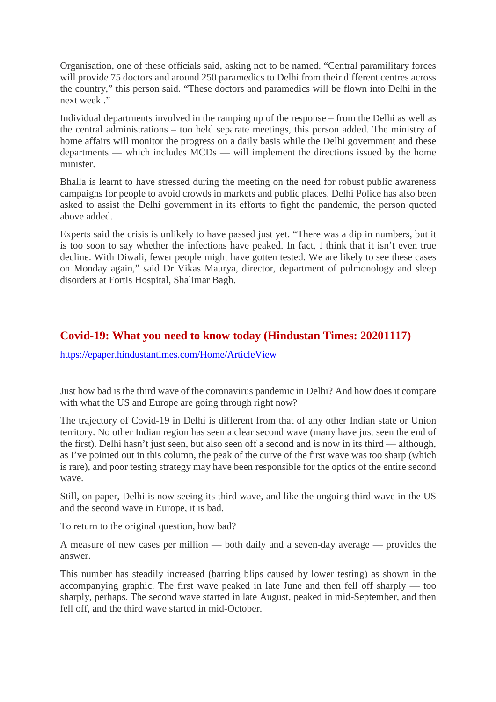Organisation, one of these officials said, asking not to be named. "Central paramilitary forces will provide 75 doctors and around 250 paramedics to Delhi from their different centres across the country," this person said. "These doctors and paramedics will be flown into Delhi in the next week ."

Individual departments involved in the ramping up of the response – from the Delhi as well as the central administrations – too held separate meetings, this person added. The ministry of home affairs will monitor the progress on a daily basis while the Delhi government and these departments — which includes MCDs — will implement the directions issued by the home minister.

Bhalla is learnt to have stressed during the meeting on the need for robust public awareness campaigns for people to avoid crowds in markets and public places. Delhi Police has also been asked to assist the Delhi government in its efforts to fight the pandemic, the person quoted above added.

Experts said the crisis is unlikely to have passed just yet. "There was a dip in numbers, but it is too soon to say whether the infections have peaked. In fact, I think that it isn't even true decline. With Diwali, fewer people might have gotten tested. We are likely to see these cases on Monday again," said Dr Vikas Maurya, director, department of pulmonology and sleep disorders at Fortis Hospital, Shalimar Bagh.

#### **Covid-19: What you need to know today (Hindustan Times: 20201117)**

https://epaper.hindustantimes.com/Home/ArticleView

Just how bad is the third wave of the coronavirus pandemic in Delhi? And how does it compare with what the US and Europe are going through right now?

The trajectory of Covid-19 in Delhi is different from that of any other Indian state or Union territory. No other Indian region has seen a clear second wave (many have just seen the end of the first). Delhi hasn't just seen, but also seen off a second and is now in its third — although, as I've pointed out in this column, the peak of the curve of the first wave was too sharp (which is rare), and poor testing strategy may have been responsible for the optics of the entire second wave.

Still, on paper, Delhi is now seeing its third wave, and like the ongoing third wave in the US and the second wave in Europe, it is bad.

To return to the original question, how bad?

A measure of new cases per million — both daily and a seven-day average — provides the answer.

This number has steadily increased (barring blips caused by lower testing) as shown in the accompanying graphic. The first wave peaked in late June and then fell off sharply — too sharply, perhaps. The second wave started in late August, peaked in mid-September, and then fell off, and the third wave started in mid-October.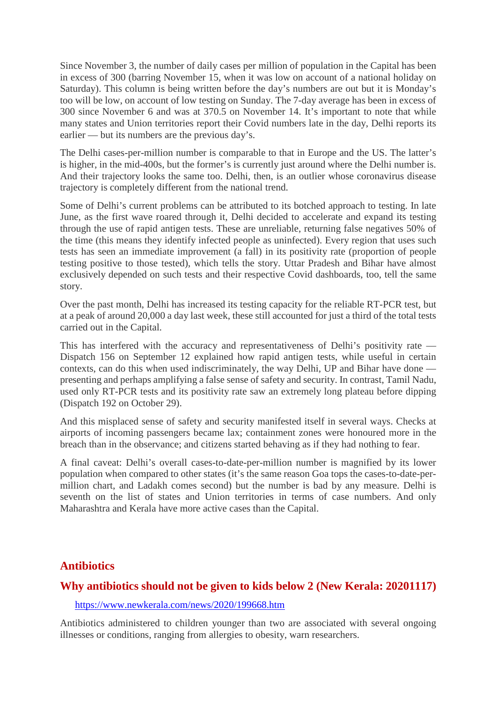Since November 3, the number of daily cases per million of population in the Capital has been in excess of 300 (barring November 15, when it was low on account of a national holiday on Saturday). This column is being written before the day's numbers are out but it is Monday's too will be low, on account of low testing on Sunday. The 7-day average has been in excess of 300 since November 6 and was at 370.5 on November 14. It's important to note that while many states and Union territories report their Covid numbers late in the day, Delhi reports its earlier — but its numbers are the previous day's.

The Delhi cases-per-million number is comparable to that in Europe and the US. The latter's is higher, in the mid-400s, but the former's is currently just around where the Delhi number is. And their trajectory looks the same too. Delhi, then, is an outlier whose coronavirus disease trajectory is completely different from the national trend.

Some of Delhi's current problems can be attributed to its botched approach to testing. In late June, as the first wave roared through it, Delhi decided to accelerate and expand its testing through the use of rapid antigen tests. These are unreliable, returning false negatives 50% of the time (this means they identify infected people as uninfected). Every region that uses such tests has seen an immediate improvement (a fall) in its positivity rate (proportion of people testing positive to those tested), which tells the story. Uttar Pradesh and Bihar have almost exclusively depended on such tests and their respective Covid dashboards, too, tell the same story.

Over the past month, Delhi has increased its testing capacity for the reliable RT-PCR test, but at a peak of around 20,000 a day last week, these still accounted for just a third of the total tests carried out in the Capital.

This has interfered with the accuracy and representativeness of Delhi's positivity rate — Dispatch 156 on September 12 explained how rapid antigen tests, while useful in certain contexts, can do this when used indiscriminately, the way Delhi, UP and Bihar have done presenting and perhaps amplifying a false sense of safety and security. In contrast, Tamil Nadu, used only RT-PCR tests and its positivity rate saw an extremely long plateau before dipping (Dispatch 192 on October 29).

And this misplaced sense of safety and security manifested itself in several ways. Checks at airports of incoming passengers became lax; containment zones were honoured more in the breach than in the observance; and citizens started behaving as if they had nothing to fear.

A final caveat: Delhi's overall cases-to-date-per-million number is magnified by its lower population when compared to other states (it's the same reason Goa tops the cases-to-date-permillion chart, and Ladakh comes second) but the number is bad by any measure. Delhi is seventh on the list of states and Union territories in terms of case numbers. And only Maharashtra and Kerala have more active cases than the Capital.

#### **Antibiotics**

#### **Why antibiotics should not be given to kids below 2 (New Kerala: 20201117)**

https://www.newkerala.com/news/2020/199668.htm

Antibiotics administered to children younger than two are associated with several ongoing illnesses or conditions, ranging from allergies to obesity, warn researchers.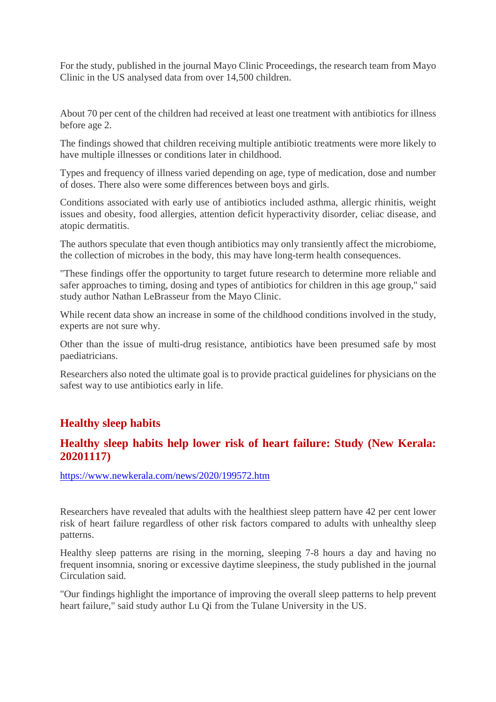For the study, published in the journal Mayo Clinic Proceedings, the research team from Mayo Clinic in the US analysed data from over 14,500 children.

About 70 per cent of the children had received at least one treatment with antibiotics for illness before age 2.

The findings showed that children receiving multiple antibiotic treatments were more likely to have multiple illnesses or conditions later in childhood.

Types and frequency of illness varied depending on age, type of medication, dose and number of doses. There also were some differences between boys and girls.

Conditions associated with early use of antibiotics included asthma, allergic rhinitis, weight issues and obesity, food allergies, attention deficit hyperactivity disorder, celiac disease, and atopic dermatitis.

The authors speculate that even though antibiotics may only transiently affect the microbiome, the collection of microbes in the body, this may have long-term health consequences.

"These findings offer the opportunity to target future research to determine more reliable and safer approaches to timing, dosing and types of antibiotics for children in this age group," said study author Nathan LeBrasseur from the Mayo Clinic.

While recent data show an increase in some of the childhood conditions involved in the study, experts are not sure why.

Other than the issue of multi-drug resistance, antibiotics have been presumed safe by most paediatricians.

Researchers also noted the ultimate goal is to provide practical guidelines for physicians on the safest way to use antibiotics early in life.

#### **Healthy sleep habits**

#### **Healthy sleep habits help lower risk of heart failure: Study (New Kerala: 20201117)**

https://www.newkerala.com/news/2020/199572.htm

Researchers have revealed that adults with the healthiest sleep pattern have 42 per cent lower risk of heart failure regardless of other risk factors compared to adults with unhealthy sleep patterns.

Healthy sleep patterns are rising in the morning, sleeping 7-8 hours a day and having no frequent insomnia, snoring or excessive daytime sleepiness, the study published in the journal Circulation said.

"Our findings highlight the importance of improving the overall sleep patterns to help prevent heart failure," said study author Lu Qi from the Tulane University in the US.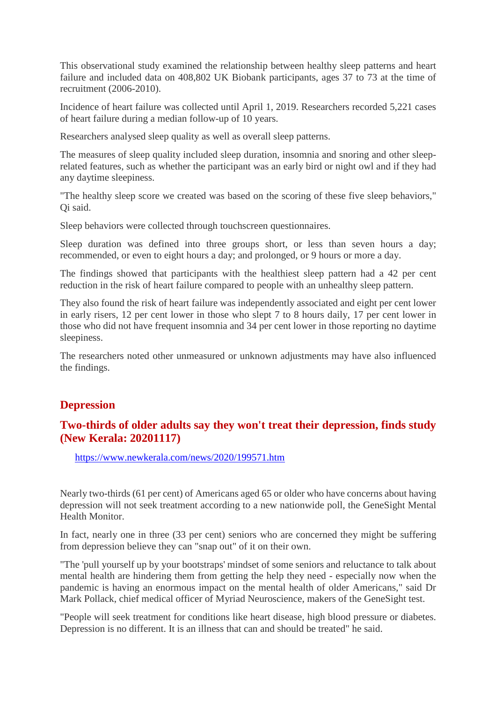This observational study examined the relationship between healthy sleep patterns and heart failure and included data on 408,802 UK Biobank participants, ages 37 to 73 at the time of recruitment (2006-2010).

Incidence of heart failure was collected until April 1, 2019. Researchers recorded 5,221 cases of heart failure during a median follow-up of 10 years.

Researchers analysed sleep quality as well as overall sleep patterns.

The measures of sleep quality included sleep duration, insomnia and snoring and other sleeprelated features, such as whether the participant was an early bird or night owl and if they had any daytime sleepiness.

"The healthy sleep score we created was based on the scoring of these five sleep behaviors," Qi said.

Sleep behaviors were collected through touchscreen questionnaires.

Sleep duration was defined into three groups short, or less than seven hours a day; recommended, or even to eight hours a day; and prolonged, or 9 hours or more a day.

The findings showed that participants with the healthiest sleep pattern had a 42 per cent reduction in the risk of heart failure compared to people with an unhealthy sleep pattern.

They also found the risk of heart failure was independently associated and eight per cent lower in early risers, 12 per cent lower in those who slept 7 to 8 hours daily, 17 per cent lower in those who did not have frequent insomnia and 34 per cent lower in those reporting no daytime sleepiness.

The researchers noted other unmeasured or unknown adjustments may have also influenced the findings.

#### **Depression**

#### **Two-thirds of older adults say they won't treat their depression, finds study (New Kerala: 20201117)**

https://www.newkerala.com/news/2020/199571.htm

Nearly two-thirds (61 per cent) of Americans aged 65 or older who have concerns about having depression will not seek treatment according to a new nationwide poll, the GeneSight Mental Health Monitor.

In fact, nearly one in three (33 per cent) seniors who are concerned they might be suffering from depression believe they can "snap out" of it on their own.

"The 'pull yourself up by your bootstraps' mindset of some seniors and reluctance to talk about mental health are hindering them from getting the help they need - especially now when the pandemic is having an enormous impact on the mental health of older Americans," said Dr Mark Pollack, chief medical officer of Myriad Neuroscience, makers of the GeneSight test.

"People will seek treatment for conditions like heart disease, high blood pressure or diabetes. Depression is no different. It is an illness that can and should be treated" he said.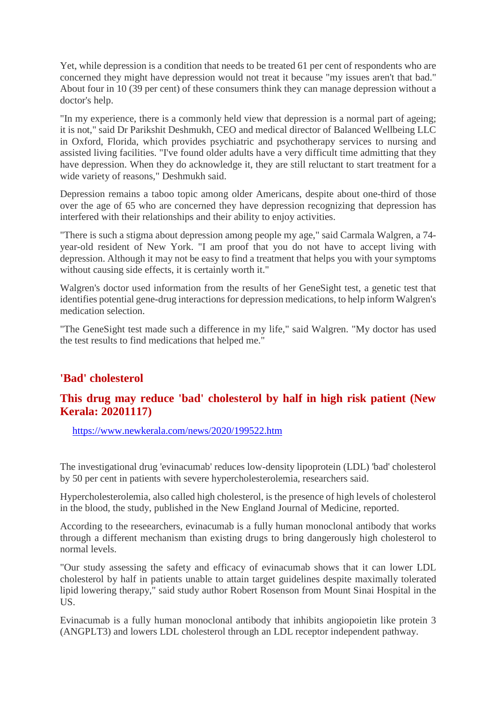Yet, while depression is a condition that needs to be treated 61 per cent of respondents who are concerned they might have depression would not treat it because "my issues aren't that bad." About four in 10 (39 per cent) of these consumers think they can manage depression without a doctor's help.

"In my experience, there is a commonly held view that depression is a normal part of ageing; it is not," said Dr Parikshit Deshmukh, CEO and medical director of Balanced Wellbeing LLC in Oxford, Florida, which provides psychiatric and psychotherapy services to nursing and assisted living facilities. "I've found older adults have a very difficult time admitting that they have depression. When they do acknowledge it, they are still reluctant to start treatment for a wide variety of reasons," Deshmukh said.

Depression remains a taboo topic among older Americans, despite about one-third of those over the age of 65 who are concerned they have depression recognizing that depression has interfered with their relationships and their ability to enjoy activities.

"There is such a stigma about depression among people my age," said Carmala Walgren, a 74 year-old resident of New York. "I am proof that you do not have to accept living with depression. Although it may not be easy to find a treatment that helps you with your symptoms without causing side effects, it is certainly worth it."

Walgren's doctor used information from the results of her GeneSight test, a genetic test that identifies potential gene-drug interactions for depression medications, to help inform Walgren's medication selection.

"The GeneSight test made such a difference in my life," said Walgren. "My doctor has used the test results to find medications that helped me."

#### **'Bad' cholesterol**

#### **This drug may reduce 'bad' cholesterol by half in high risk patient (New Kerala: 20201117)**

https://www.newkerala.com/news/2020/199522.htm

The investigational drug 'evinacumab' reduces low-density lipoprotein (LDL) 'bad' cholesterol by 50 per cent in patients with severe hypercholesterolemia, researchers said.

Hypercholesterolemia, also called high cholesterol, is the presence of high levels of cholesterol in the blood, the study, published in the New England Journal of Medicine, reported.

According to the reseearchers, evinacumab is a fully human monoclonal antibody that works through a different mechanism than existing drugs to bring dangerously high cholesterol to normal levels.

"Our study assessing the safety and efficacy of evinacumab shows that it can lower LDL cholesterol by half in patients unable to attain target guidelines despite maximally tolerated lipid lowering therapy," said study author Robert Rosenson from Mount Sinai Hospital in the US.

Evinacumab is a fully human monoclonal antibody that inhibits angiopoietin like protein 3 (ANGPLT3) and lowers LDL cholesterol through an LDL receptor independent pathway.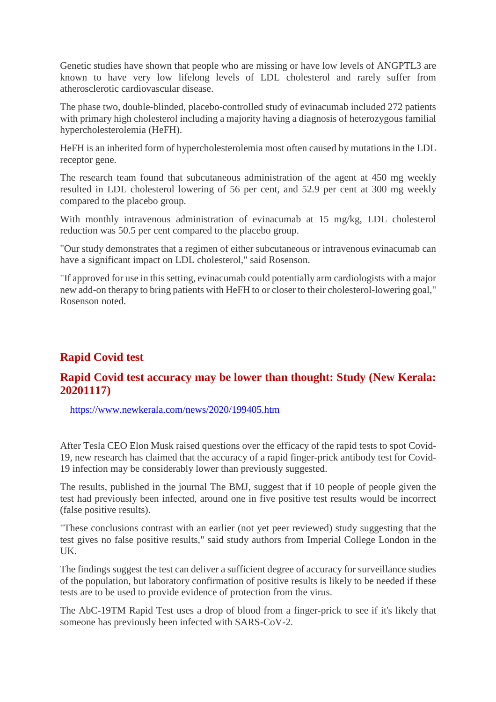Genetic studies have shown that people who are missing or have low levels of ANGPTL3 are known to have very low lifelong levels of LDL cholesterol and rarely suffer from atherosclerotic cardiovascular disease.

The phase two, double-blinded, placebo-controlled study of evinacumab included 272 patients with primary high cholesterol including a majority having a diagnosis of heterozygous familial hypercholesterolemia (HeFH).

HeFH is an inherited form of hypercholesterolemia most often caused by mutations in the LDL receptor gene.

The research team found that subcutaneous administration of the agent at 450 mg weekly resulted in LDL cholesterol lowering of 56 per cent, and 52.9 per cent at 300 mg weekly compared to the placebo group.

With monthly intravenous administration of evinacumab at 15 mg/kg, LDL cholesterol reduction was 50.5 per cent compared to the placebo group.

"Our study demonstrates that a regimen of either subcutaneous or intravenous evinacumab can have a significant impact on LDL cholesterol," said Rosenson.

"If approved for use in this setting, evinacumab could potentially arm cardiologists with a major new add-on therapy to bring patients with HeFH to or closer to their cholesterol-lowering goal," Rosenson noted.

## **Rapid Covid test**

#### **Rapid Covid test accuracy may be lower than thought: Study (New Kerala: 20201117)**

https://www.newkerala.com/news/2020/199405.htm

After Tesla CEO Elon Musk raised questions over the efficacy of the rapid tests to spot Covid-19, new research has claimed that the accuracy of a rapid finger-prick antibody test for Covid-19 infection may be considerably lower than previously suggested.

The results, published in the journal The BMJ, suggest that if 10 people of people given the test had previously been infected, around one in five positive test results would be incorrect (false positive results).

"These conclusions contrast with an earlier (not yet peer reviewed) study suggesting that the test gives no false positive results," said study authors from Imperial College London in the UK.

The findings suggest the test can deliver a sufficient degree of accuracy for surveillance studies of the population, but laboratory confirmation of positive results is likely to be needed if these tests are to be used to provide evidence of protection from the virus.

The AbC-19TM Rapid Test uses a drop of blood from a finger-prick to see if it's likely that someone has previously been infected with SARS-CoV-2.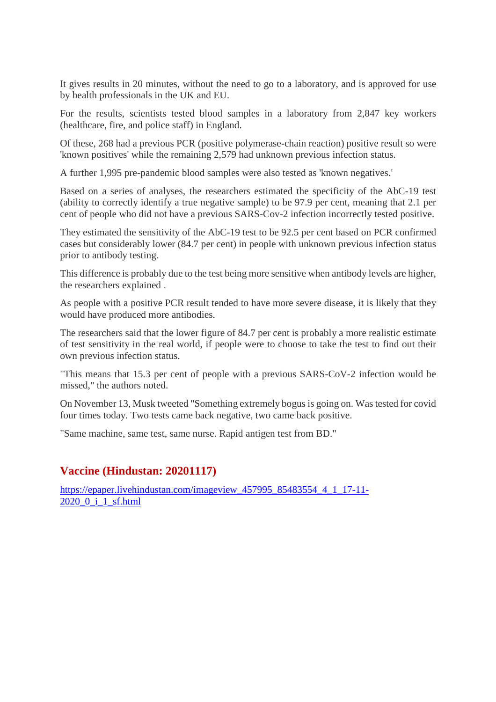It gives results in 20 minutes, without the need to go to a laboratory, and is approved for use by health professionals in the UK and EU.

For the results, scientists tested blood samples in a laboratory from 2,847 key workers (healthcare, fire, and police staff) in England.

Of these, 268 had a previous PCR (positive polymerase-chain reaction) positive result so were 'known positives' while the remaining 2,579 had unknown previous infection status.

A further 1,995 pre-pandemic blood samples were also tested as 'known negatives.'

Based on a series of analyses, the researchers estimated the specificity of the AbC-19 test (ability to correctly identify a true negative sample) to be 97.9 per cent, meaning that 2.1 per cent of people who did not have a previous SARS-Cov-2 infection incorrectly tested positive.

They estimated the sensitivity of the AbC-19 test to be 92.5 per cent based on PCR confirmed cases but considerably lower (84.7 per cent) in people with unknown previous infection status prior to antibody testing.

This difference is probably due to the test being more sensitive when antibody levels are higher, the researchers explained .

As people with a positive PCR result tended to have more severe disease, it is likely that they would have produced more antibodies.

The researchers said that the lower figure of 84.7 per cent is probably a more realistic estimate of test sensitivity in the real world, if people were to choose to take the test to find out their own previous infection status.

"This means that 15.3 per cent of people with a previous SARS-CoV-2 infection would be missed," the authors noted.

On November 13, Musk tweeted "Something extremely bogus is going on. Was tested for covid four times today. Two tests came back negative, two came back positive.

"Same machine, same test, same nurse. Rapid antigen test from BD."

#### **Vaccine (Hindustan: 20201117)**

https://epaper.livehindustan.com/imageview\_457995\_85483554\_4\_1\_17-11- 2020\_0\_i\_1\_sf.html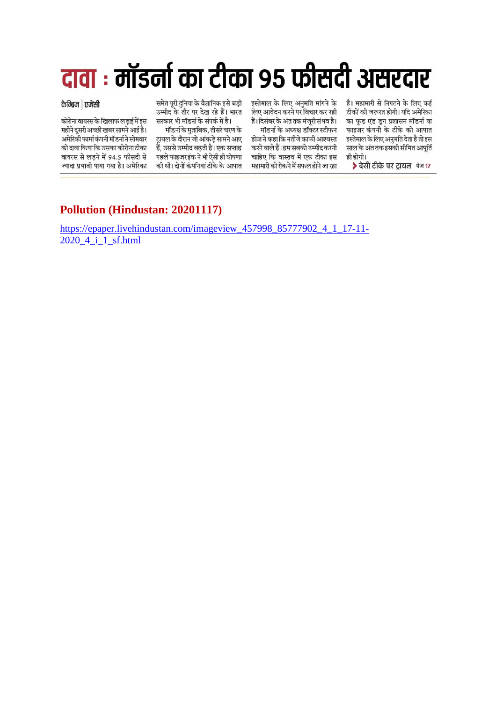# दावा : मॉडर्ना का टीका ९५ फीसदी असरदार

#### कैम्ब्रिज | एजेंसी

कोरोना वायरस के खिलाफ लड़ाई में इस महीने दुसरी अच्छी खबर सामने आई है। अमेरिको फार्मा कंपनी मॉडर्ना ने सोमवार को दावा किया कि उसका कोरोना टीका वायरस से लड़ने में 94.5 फीसदी से ज्यादा प्रभावी पाया गया है। अमेरिका

समेत पुरी दुनिया के वैज्ञानिक इसे बड़ी उम्मीद के तौर पर देख रहे हैं। भारत सरकार भी मॉडर्ना के संपर्क में है।

मॉडर्ना के मुताबिक, तीसरे चरण के टायल के दौरान जो आंकडे सामने आए हैं. उससे उम्मीद बढती है। एक सप्ताह पहले फाइजर इंक ने भी ऐसी ही घोषणा की थी। दोनों कंपनियां टीके के आपात

इस्तेमाल के लिए अनुमति मांगने के लिए आवेदन करने पर विचार कर रही हैं।दिसंबर के अंत तक मंजूरी संभव है।

मॉडर्ना के अध्यक्ष डॉक्टर स्टीफन होज ने कहा कि नतीजे काफी आश्वस्त करने वाले हैं। हम सबको उम्मीद करनी चाहिए कि वास्तव में एक टीका इस महामारी को रोकने में सफल होने जा रहा

है। महामारी से निपटने के लिए कई टीकों की जरूरत होगी। यदि अमेरिका का फुड एंड डुग प्रशासन मॉडर्ना या फाइजर कंपनी के टीके को आपात इस्तेमाल के लिए अनुमति देता है तो इस साल के अंत तक इसकी सीमित आपति ही होगी।

> देसी टीके पर टायल फेन 17

## **Pollution (Hindustan: 20201117)**

https://epaper.livehindustan.com/imageview\_457998\_85777902\_4\_1\_17-11- 2020\_4\_i\_1\_sf.html